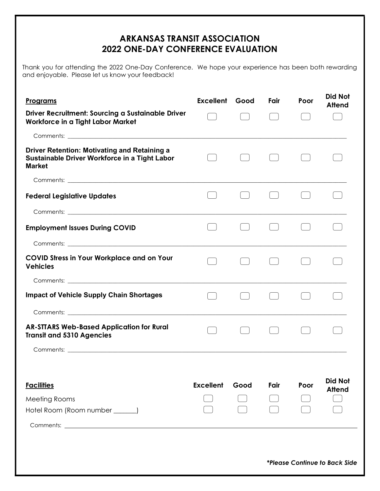## ARKANSAS TRANSIT ASSOCIATION 2022 ONE-DAY CONFERENCE EVALUATION

Thank you for attending the 2022 One-Day Conference. We hope your experience has been both rewarding and enjoyable. Please let us know your feedback!

| <u>Programs</u>                                                                                                       | <b>Excellent Good</b> |      | Fair | Poor | Did Not<br><b>Attend</b>             |
|-----------------------------------------------------------------------------------------------------------------------|-----------------------|------|------|------|--------------------------------------|
| Driver Recruitment: Sourcing a Sustainable Driver<br>Workforce in a Tight Labor Market                                |                       |      |      |      |                                      |
|                                                                                                                       |                       |      |      |      |                                      |
| <b>Driver Retention: Motivating and Retaining a</b><br>Sustainable Driver Workforce in a Tight Labor<br><b>Market</b> |                       |      |      |      |                                      |
|                                                                                                                       |                       |      |      |      |                                      |
| <b>Federal Legislative Updates</b>                                                                                    |                       |      |      |      |                                      |
|                                                                                                                       |                       |      |      |      |                                      |
| <b>Employment Issues During COVID</b>                                                                                 |                       |      |      |      |                                      |
|                                                                                                                       |                       |      |      |      |                                      |
| <b>COVID Stress in Your Workplace and on Your</b><br><b>Vehicles</b>                                                  |                       |      |      |      |                                      |
|                                                                                                                       |                       |      |      |      |                                      |
| <b>Impact of Vehicle Supply Chain Shortages</b>                                                                       |                       |      |      |      |                                      |
|                                                                                                                       |                       |      |      |      |                                      |
| <b>AR-STTARS Web-Based Application for Rural</b><br><b>Transit and 5310 Agencies</b>                                  |                       |      |      |      |                                      |
|                                                                                                                       |                       |      |      |      |                                      |
| <b>Facilities</b>                                                                                                     | <b>Excellent</b>      | Good | Fair | Poor | <b>Did Not</b><br><b>Attend</b>      |
| Meeting Rooms                                                                                                         |                       |      |      |      |                                      |
| Hotel Room (Room number ______)                                                                                       |                       |      |      |      |                                      |
|                                                                                                                       |                       |      |      |      |                                      |
|                                                                                                                       |                       |      |      |      |                                      |
|                                                                                                                       |                       |      |      |      | <i>*Please Continue to Back Side</i> |
|                                                                                                                       |                       |      |      |      |                                      |